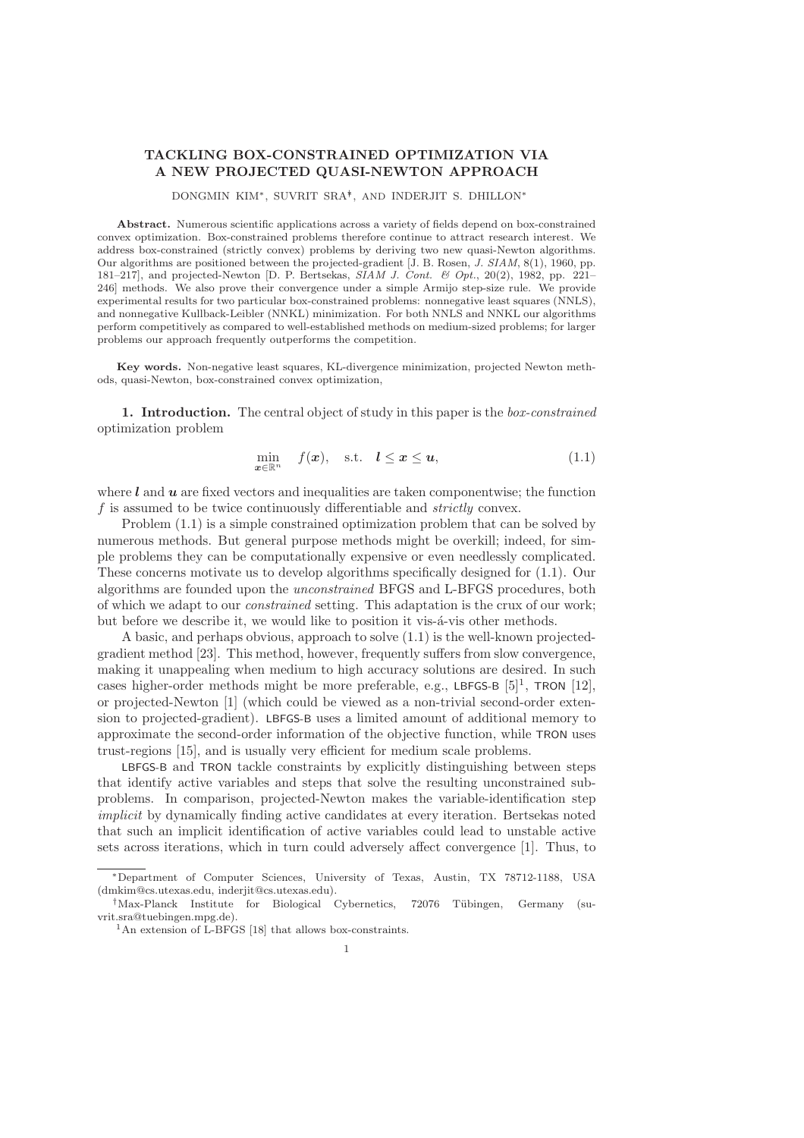## TACKLING BOX-CONSTRAINED OPTIMIZATION VIA A NEW PROJECTED QUASI-NEWTON APPROACH

DONGMIN KIM∗, SUVRIT SRA∗† , AND INDERJIT S. DHILLON<sup>∗</sup>

Abstract. Numerous scientific applications across a variety of fields depend on box-constrained convex optimization. Box-constrained problems therefore continue to attract research interest. We address box-constrained (strictly convex) problems by deriving two new quasi-Newton algorithms. Our algorithms are positioned between the projected-gradient [J. B. Rosen, *J. SIAM*, 8(1), 1960, pp. 181–217], and projected-Newton [D. P. Bertsekas, *SIAM J. Cont. & Opt.*, 20(2), 1982, pp. 221– 246] methods. We also prove their convergence under a simple Armijo step-size rule. We provide experimental results for two particular box-constrained problems: nonnegative least squares (NNLS), and nonnegative Kullback-Leibler (NNKL) minimization. For both NNLS and NNKL our algorithms perform competitively as compared to well-established methods on medium-sized problems; for larger problems our approach frequently outperforms the competition.

Key words. Non-negative least squares, KL-divergence minimization, projected Newton methods, quasi-Newton, box-constrained convex optimization,

1. Introduction. The central object of study in this paper is the *box-constrained* optimization problem

$$
\min_{\boldsymbol{x} \in \mathbb{R}^n} \quad f(\boldsymbol{x}), \quad \text{s.t.} \quad \boldsymbol{l} \le \boldsymbol{x} \le \boldsymbol{u}, \tag{1.1}
$$

where  $l$  and  $u$  are fixed vectors and inequalities are taken componentwise; the function f is assumed to be twice continuously differentiable and *strictly* convex.

Problem (1.1) is a simple constrained optimization problem that can be solved by numerous methods. But general purpose methods might be overkill; indeed, for simple problems they can be computationally expensive or even needlessly complicated. These concerns motivate us to develop algorithms specifically designed for (1.1). Our algorithms are founded upon the *unconstrained* BFGS and L-BFGS procedures, both of which we adapt to our *constrained* setting. This adaptation is the crux of our work; but before we describe it, we would like to position it vis- $\acute{a}$ -vis other methods.

A basic, and perhaps obvious, approach to solve (1.1) is the well-known projectedgradient method [23]. This method, however, frequently suffers from slow convergence, making it unappealing when medium to high accuracy solutions are desired. In such cases higher-order methods might be more preferable, e.g., LBFGS-B  $[5]^1$ , TRON  $[12]$ , or projected-Newton [1] (which could be viewed as a non-trivial second-order extension to projected-gradient). LBFGS-B uses a limited amount of additional memory to approximate the second-order information of the objective function, while TRON uses trust-regions [15], and is usually very efficient for medium scale problems.

LBFGS-B and TRON tackle constraints by explicitly distinguishing between steps that identify active variables and steps that solve the resulting unconstrained subproblems. In comparison, projected-Newton makes the variable-identification step *implicit* by dynamically finding active candidates at every iteration. Bertsekas noted that such an implicit identification of active variables could lead to unstable active sets across iterations, which in turn could adversely affect convergence [1]. Thus, to

<sup>∗</sup>Department of Computer Sciences, University of Texas, Austin, TX 78712-1188, USA (dmkim@cs.utexas.edu, inderjit@cs.utexas.edu).

<sup>&</sup>lt;sup>†</sup>Max-Planck Institute for Biological Cybernetics, 72076 Tübingen, Germany (suvrit.sra@tuebingen.mpg.de).

<sup>&</sup>lt;sup>1</sup>An extension of L-BFGS [18] that allows box-constraints.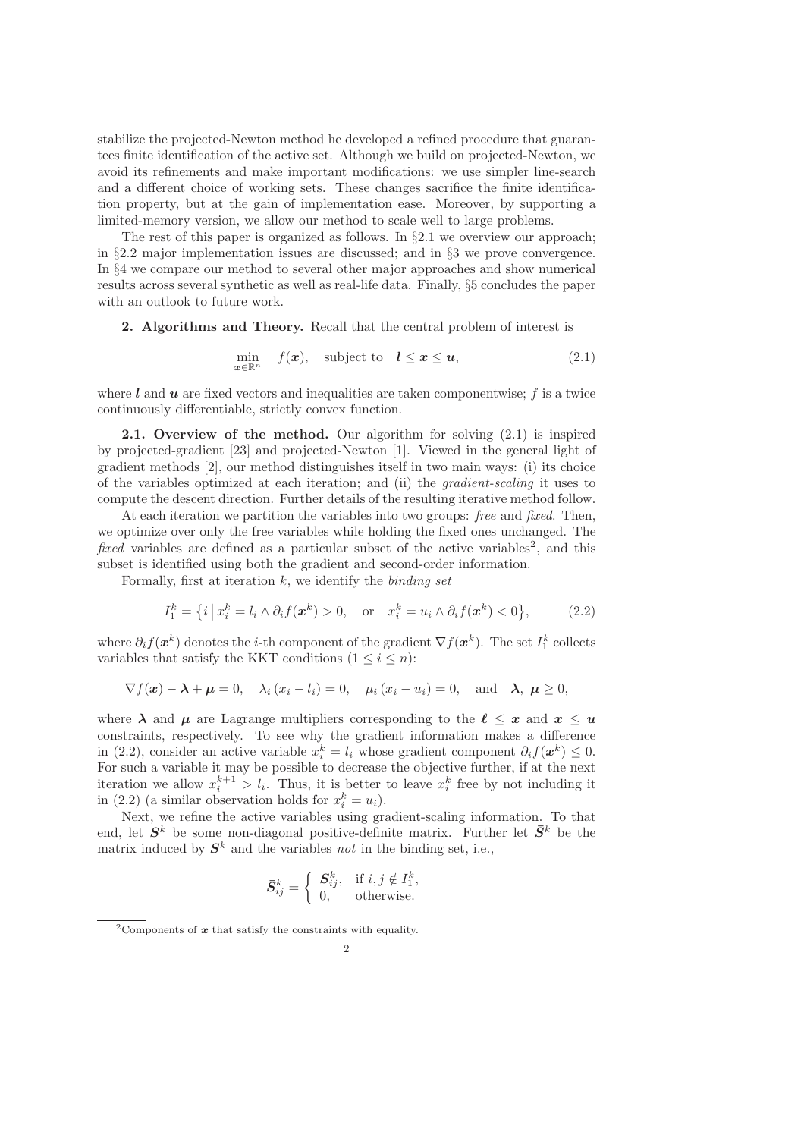stabilize the projected-Newton method he developed a refined procedure that guarantees finite identification of the active set. Although we build on projected-Newton, we avoid its refinements and make important modifications: we use simpler line-search and a different choice of working sets. These changes sacrifice the finite identification property, but at the gain of implementation ease. Moreover, by supporting a limited-memory version, we allow our method to scale well to large problems.

The rest of this paper is organized as follows. In  $\S 2.1$  we overview our approach; in §2.2 major implementation issues are discussed; and in §3 we prove convergence. In §4 we compare our method to several other major approaches and show numerical results across several synthetic as well as real-life data. Finally, §5 concludes the paper with an outlook to future work.

2. Algorithms and Theory. Recall that the central problem of interest is

$$
\min_{\boldsymbol{x} \in \mathbb{R}^n} \quad f(\boldsymbol{x}), \quad \text{subject to} \quad \boldsymbol{l} \le \boldsymbol{x} \le \boldsymbol{u}, \tag{2.1}
$$

where  $\boldsymbol{l}$  and  $\boldsymbol{u}$  are fixed vectors and inequalities are taken componentwise; f is a twice continuously differentiable, strictly convex function.

2.1. Overview of the method. Our algorithm for solving  $(2.1)$  is inspired by projected-gradient [23] and projected-Newton [1]. Viewed in the general light of gradient methods [2], our method distinguishes itself in two main ways: (i) its choice of the variables optimized at each iteration; and (ii) the *gradient-scaling* it uses to compute the descent direction. Further details of the resulting iterative method follow.

At each iteration we partition the variables into two groups: *free* and *fixed*. Then, we optimize over only the free variables while holding the fixed ones unchanged. The *fixed* variables are defined as a particular subset of the active variables<sup>2</sup>, and this subset is identified using both the gradient and second-order information.

Formally, first at iteration k, we identify the *binding set*

$$
I_1^k = \left\{ i \, \middle| \, x_i^k = l_i \wedge \partial_i f(\boldsymbol{x}^k) > 0, \quad \text{or} \quad x_i^k = u_i \wedge \partial_i f(\boldsymbol{x}^k) < 0 \right\},\tag{2.2}
$$

where  $\partial_i f(\boldsymbol{x}^k)$  denotes the *i*-th component of the gradient  $\nabla f(\boldsymbol{x}^k)$ . The set  $I_1^k$  collects variables that satisfy the KKT conditions  $(1 \leq i \leq n)$ :

$$
\nabla f(\boldsymbol{x}) - \boldsymbol{\lambda} + \boldsymbol{\mu} = 0
$$
,  $\lambda_i (x_i - l_i) = 0$ ,  $\mu_i (x_i - u_i) = 0$ , and  $\boldsymbol{\lambda}, \boldsymbol{\mu} \ge 0$ ,

where  $\lambda$  and  $\mu$  are Lagrange multipliers corresponding to the  $\ell \leq x$  and  $x \leq u$ constraints, respectively. To see why the gradient information makes a difference in (2.2), consider an active variable  $x_i^k = l_i$  whose gradient component  $\partial_i f(x^k) \leq 0$ . For such a variable it may be possible to decrease the objective further, if at the next iteration we allow  $x_i^{k+1} > l_i$ . Thus, it is better to leave  $x_i^k$  free by not including it in (2.2) (a similar observation holds for  $x_i^k = u_i$ ).

Next, we refine the active variables using gradient-scaling information. To that end, let  $S^k$  be some non-diagonal positive-definite matrix. Further let  $\bar{S}^k$  be the matrix induced by  $S^k$  and the variables *not* in the binding set, i.e.,

$$
\bar{S}_{ij}^k = \begin{cases} S_{ij}^k, & \text{if } i, j \notin I_1^k, \\ 0, & \text{otherwise.} \end{cases}
$$

<sup>&</sup>lt;sup>2</sup>Components of  $\boldsymbol{x}$  that satisfy the constraints with equality.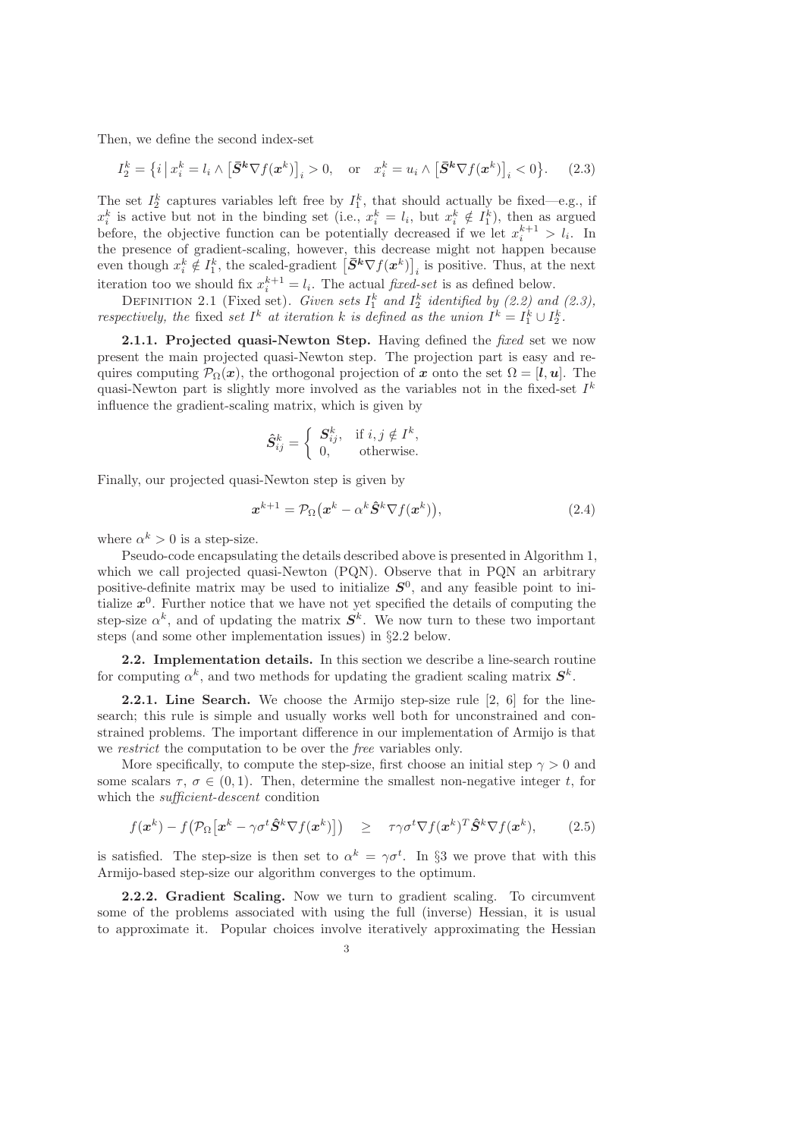Then, we define the second index-set

$$
I_2^k = \left\{ i \left| x_i^k = l_i \wedge \left[ \bar{S}^k \nabla f(x^k) \right]_i > 0, \quad \text{or} \quad x_i^k = u_i \wedge \left[ \bar{S}^k \nabla f(x^k) \right]_i < 0 \right\}. \tag{2.3}
$$

The set  $I_2^k$  captures variables left free by  $I_1^k$ , that should actually be fixed—e.g., if  $x_i^k$  is active but not in the binding set (i.e.,  $x_i^k = l_i$ , but  $x_i^k \notin I_1^k$ ), then as argued before, the objective function can be potentially decreased if we let  $x_i^{k+1} > l_i$ . In the presence of gradient-scaling, however, this decrease might not happen because even though  $x_i^k \notin I_1^k$ , the scaled-gradient  $[\bar{S}^k \nabla f(x^k)]_i$  is positive. Thus, at the next i iteration too we should fix  $x_i^{k+1} = l_i$ . The actual *fixed-set* is as defined below.

DEFINITION 2.1 (Fixed set). *Given sets*  $I_1^k$  and  $I_2^k$  identified by (2.2) and (2.3), *respectively, the* fixed *set*  $I^k$  *at iteration*  $k$  *is defined as the union*  $I^k = I_1^k \cup I_2^k$ .

2.1.1. Projected quasi-Newton Step. Having defined the *fixed* set we now present the main projected quasi-Newton step. The projection part is easy and requires computing  $\mathcal{P}_{\Omega}(x)$ , the orthogonal projection of x onto the set  $\Omega = [l, u]$ . The quasi-Newton part is slightly more involved as the variables not in the fixed-set  $I^k$ influence the gradient-scaling matrix, which is given by

$$
\hat{S}_{ij}^k = \begin{cases} S_{ij}^k, & \text{if } i, j \notin I^k, \\ 0, & \text{otherwise.} \end{cases}
$$

Finally, our projected quasi-Newton step is given by

$$
\boldsymbol{x}^{k+1} = \mathcal{P}_{\Omega}(\boldsymbol{x}^k - \alpha^k \hat{\boldsymbol{S}}^k \nabla f(\boldsymbol{x}^k)),
$$
\n(2.4)

where  $\alpha^k > 0$  is a step-size.

Pseudo-code encapsulating the details described above is presented in Algorithm 1, which we call projected quasi-Newton (PQN). Observe that in PQN an arbitrary positive-definite matrix may be used to initialize  $S^0$ , and any feasible point to initialize  $x^0$ . Further notice that we have not yet specified the details of computing the step-size  $\alpha^k$ , and of updating the matrix  $S^k$ . We now turn to these two important steps (and some other implementation issues) in §2.2 below.

2.2. Implementation details. In this section we describe a line-search routine for computing  $\alpha^k$ , and two methods for updating the gradient scaling matrix  $S^k$ .

2.2.1. Line Search. We choose the Armijo step-size rule [2, 6] for the linesearch; this rule is simple and usually works well both for unconstrained and constrained problems. The important difference in our implementation of Armijo is that we *restrict* the computation to be over the *free* variables only.

More specifically, to compute the step-size, first choose an initial step  $\gamma > 0$  and some scalars  $\tau$ ,  $\sigma \in (0, 1)$ . Then, determine the smallest non-negative integer t, for which the *sufficient-descent* condition

$$
f(\mathbf{x}^k) - f(\mathcal{P}_{\Omega}[\mathbf{x}^k - \gamma \sigma^t \hat{\mathbf{S}}^k \nabla f(\mathbf{x}^k)]) \geq \tau \gamma \sigma^t \nabla f(\mathbf{x}^k)^T \hat{\mathbf{S}}^k \nabla f(\mathbf{x}^k), \qquad (2.5)
$$

is satisfied. The step-size is then set to  $\alpha^k = \gamma \sigma^t$ . In §3 we prove that with this Armijo-based step-size our algorithm converges to the optimum.

2.2.2. Gradient Scaling. Now we turn to gradient scaling. To circumvent some of the problems associated with using the full (inverse) Hessian, it is usual to approximate it. Popular choices involve iteratively approximating the Hessian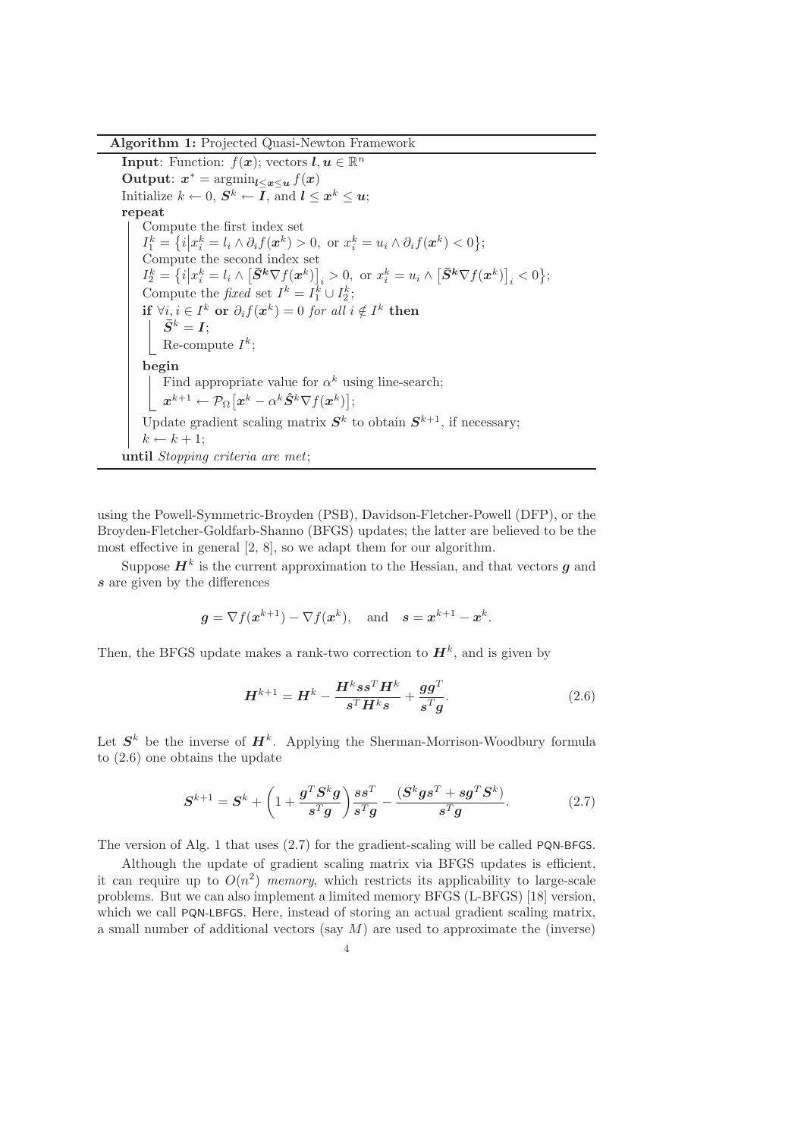Algorithm 1: Projected Quasi-Newton Framework

**Input:** Function:  $f(x)$ ; vectors  $l, u \in \mathbb{R}^n$ Output:  $x^* = \operatorname{argmin}_{l \leq x \leq u} f(x)$ Initialize  $k \leftarrow 0$ ,  $S^k \leftarrow I$ , and  $l \leq x^k \leq u$ ; repeat Compute the first index set  $I_1^k = \{i \big| x_i^k = l_i \wedge \partial_i f(\boldsymbol{x}^k) > 0, \text{ or } x_i^k = u_i \wedge \partial_i f(\boldsymbol{x}^k) < 0 \};$ Compute the second index set  $I_2^k = \left\{i \middle| x_i^k = l_i \wedge \left[ \bar{S}^k \nabla f(x^k) \right]_i > 0, \text{ or } x_i^k = u_i \wedge \left[ \bar{S}^k \nabla f(x^k) \right]_i < 0 \right\};$ Compute the *fixed* set  $I^k = I_1^k \cup I_2^k$ ; if  $\forall i, i \in I^k$  or  $\partial_i f(x^k) = 0$  *for all*  $i \notin I^k$  then  $\bar{S}^k = I;$ Re-compute  $I^k$ ; begin Find appropriate value for  $\alpha^k$  using line-search;  $\boldsymbol{x}^{k+1} \leftarrow \mathcal{P}_{\Omega}\big[\boldsymbol{x}^k - \alpha^k \hat{\boldsymbol{S}}^k \nabla f(\boldsymbol{x}^k)\big];$ Update gradient scaling matrix  $S<sup>k</sup>$  to obtain  $S<sup>k+1</sup>$ , if necessary;  $k \leftarrow k + 1$ ; until *Stopping criteria are met*;

using the Powell-Symmetric-Broyden (PSB), Davidson-Fletcher-Powell (DFP), or the Broyden-Fletcher-Goldfarb-Shanno (BFGS) updates; the latter are believed to be the most effective in general [2, 8], so we adapt them for our algorithm.

Suppose  $H^k$  is the current approximation to the Hessian, and that vectors  $g$  and s are given by the differences

$$
g = \nabla f(x^{k+1}) - \nabla f(x^k)
$$
, and  $s = x^{k+1} - x^k$ .

Then, the BFGS update makes a rank-two correction to  $\mathbf{H}^{k}$ , and is given by

$$
\boldsymbol{H}^{k+1} = \boldsymbol{H}^k - \frac{\boldsymbol{H}^k s s^T \boldsymbol{H}^k}{s^T \boldsymbol{H}^k s} + \frac{\boldsymbol{g} \boldsymbol{g}^T}{s^T \boldsymbol{g}}.
$$
 (2.6)

Let  $S<sup>k</sup>$  be the inverse of  $H<sup>k</sup>$ . Applying the Sherman-Morrison-Woodbury formula to (2.6) one obtains the update

$$
\mathbf{S}^{k+1} = \mathbf{S}^k + \left(1 + \frac{\boldsymbol{g}^T \mathbf{S}^k \boldsymbol{g}}{\boldsymbol{s}^T \boldsymbol{g}}\right) \frac{\boldsymbol{s} \boldsymbol{s}^T}{\boldsymbol{s}^T \boldsymbol{g}} - \frac{(\mathbf{S}^k \boldsymbol{g} \boldsymbol{s}^T + \boldsymbol{s} \boldsymbol{g}^T \mathbf{S}^k)}{\boldsymbol{s}^T \boldsymbol{g}}.
$$
 (2.7)

The version of Alg. 1 that uses (2.7) for the gradient-scaling will be called PQN-BFGS.

Although the update of gradient scaling matrix via BFGS updates is efficient, it can require up to  $O(n^2)$  *memory*, which restricts its applicability to large-scale problems. But we can also implement a limited memory BFGS (L-BFGS) [18] version, which we call PQN-LBFGS. Here, instead of storing an actual gradient scaling matrix, a small number of additional vectors (say  $M$ ) are used to approximate the (inverse)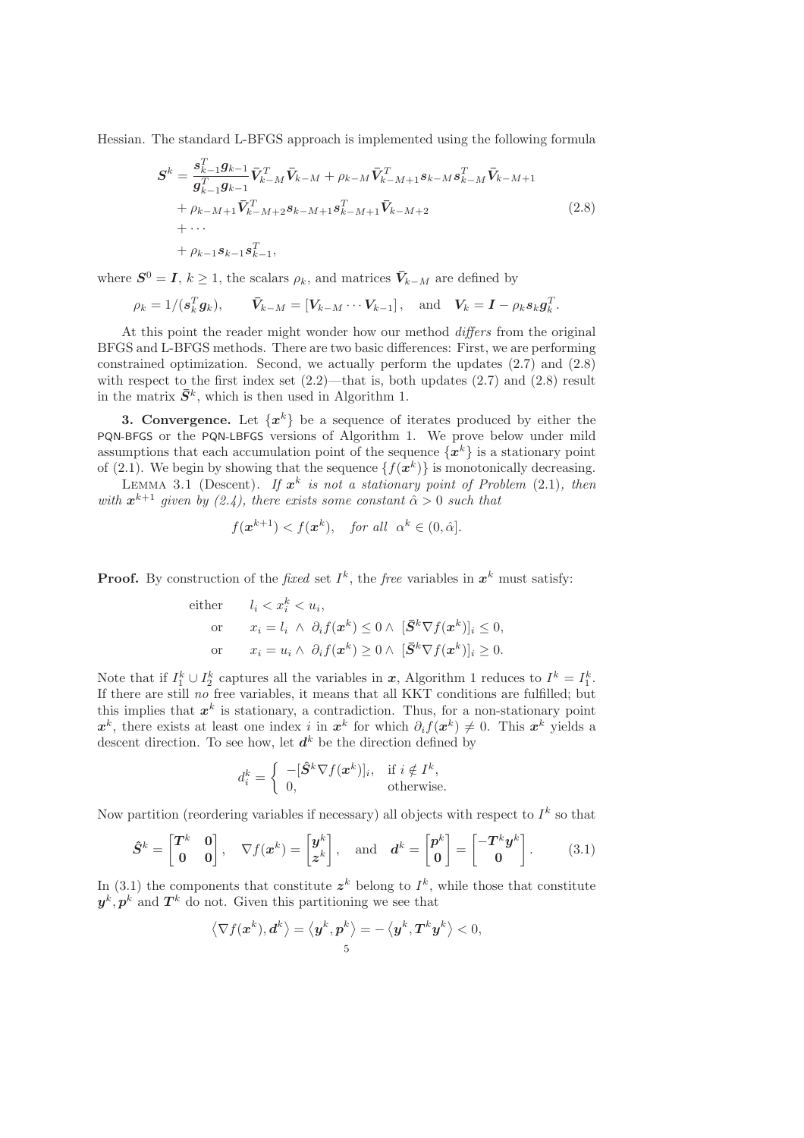Hessian. The standard L-BFGS approach is implemented using the following formula

$$
S^{k} = \frac{\mathbf{s}_{k-1}^{T} \mathbf{g}_{k-1}}{\mathbf{g}_{k-1}^{T} \mathbf{g}_{k-1}} \bar{\mathbf{V}}_{k-M}^{T} \bar{\mathbf{V}}_{k-M} + \rho_{k-M} \bar{\mathbf{V}}_{k-M+1}^{T} \mathbf{s}_{k-M} \mathbf{s}_{k-M}^{T} \bar{\mathbf{V}}_{k-M+1} + \rho_{k-M+1} \bar{\mathbf{V}}_{k-M+2}^{T} \mathbf{s}_{k-M+1} \mathbf{s}_{k-M+1}^{T} \bar{\mathbf{V}}_{k-M+2} + \cdots + \rho_{k-1} \mathbf{s}_{k-1} \mathbf{s}_{k-1}^{T},
$$
\n(2.8)

where  $S^0 = I, k \geq 1$ , the scalars  $\rho_k$ , and matrices  $\bar{V}_{k-M}$  are defined by

$$
\rho_k = 1/(s_k^T g_k), \qquad \bar{V}_{k-M} = [V_{k-M} \cdots V_{k-1}], \text{ and } V_k = I - \rho_k s_k g_k^T.
$$

At this point the reader might wonder how our method *differs* from the original BFGS and L-BFGS methods. There are two basic differences: First, we are performing constrained optimization. Second, we actually perform the updates (2.7) and (2.8) with respect to the first index set  $(2.2)$ —that is, both updates  $(2.7)$  and  $(2.8)$  result in the matrix  $\bar{S}^k$ , which is then used in Algorithm 1.

**3. Convergence.** Let  $\{x^k\}$  be a sequence of iterates produced by either the PQN-BFGS or the PQN-LBFGS versions of Algorithm 1. We prove below under mild assumptions that each accumulation point of the sequence  $\{x^k\}$  is a stationary point of (2.1). We begin by showing that the sequence  $\{f(\mathbf{x}^k)\}\$ is monotonically decreasing.

LEMMA 3.1 (Descent). If  $x^k$  is not a stationary point of Problem  $(2.1)$ , then with  $x^{k+1}$  given by (2.4), there exists some constant  $\hat{\alpha} > 0$  such that

$$
f(\mathbf{x}^{k+1}) < f(\mathbf{x}^k)
$$
, for all  $\alpha^k \in (0, \hat{\alpha})$ .

**Proof.** By construction of the *fixed* set  $I^k$ , the *free* variables in  $x^k$  must satisfy:

either 
$$
l_i < x_i^k < u_i
$$
,  
\nor  $x_i = l_i \land \partial_i f(\mathbf{x}^k) \leq 0 \land [\bar{S}^k \nabla f(\mathbf{x}^k)]_i \leq 0$ ,  
\nor  $x_i = u_i \land \partial_i f(\mathbf{x}^k) \geq 0 \land [\bar{S}^k \nabla f(\mathbf{x}^k)]_i \geq 0$ .

Note that if  $I_1^k \cup I_2^k$  captures all the variables in  $x$ , Algorithm 1 reduces to  $I^k = I_1^k$ . If there are still *no* free variables, it means that all KKT conditions are fulfilled; but this implies that  $x^k$  is stationary, a contradiction. Thus, for a non-stationary point  $x^k$ , there exists at least one index i in  $x^k$  for which  $\partial_i f(x^k) \neq 0$ . This  $x^k$  yields a descent direction. To see how, let  $d^k$  be the direction defined by

$$
d_i^k = \begin{cases} \begin{array}{c} -[\hat{\mathbf{S}}^k \nabla f(\mathbf{x}^k)]_i, & \text{if } i \notin I^k, \\ 0, & \text{otherwise.} \end{array} \end{cases}
$$

Now partition (reordering variables if necessary) all objects with respect to  $I^k$  so that

$$
\hat{S}^k = \begin{bmatrix} T^k & 0 \\ 0 & 0 \end{bmatrix}, \quad \nabla f(x^k) = \begin{bmatrix} y^k \\ z^k \end{bmatrix}, \quad \text{and} \quad d^k = \begin{bmatrix} p^k \\ 0 \end{bmatrix} = \begin{bmatrix} -T^k y^k \\ 0 \end{bmatrix}.
$$
 (3.1)

In (3.1) the components that constitute  $z^k$  belong to  $I^k$ , while those that constitute  $y^k, p^k$  and  $T^k$  do not. Given this partitioning we see that

$$
\left\langle \nabla f(\boldsymbol{x}^k), \boldsymbol{d}^k \right\rangle = \left\langle \boldsymbol{y}^k, \boldsymbol{p}^k \right\rangle = -\left\langle \boldsymbol{y}^k, \boldsymbol{T}^k \boldsymbol{y}^k \right\rangle < 0,
$$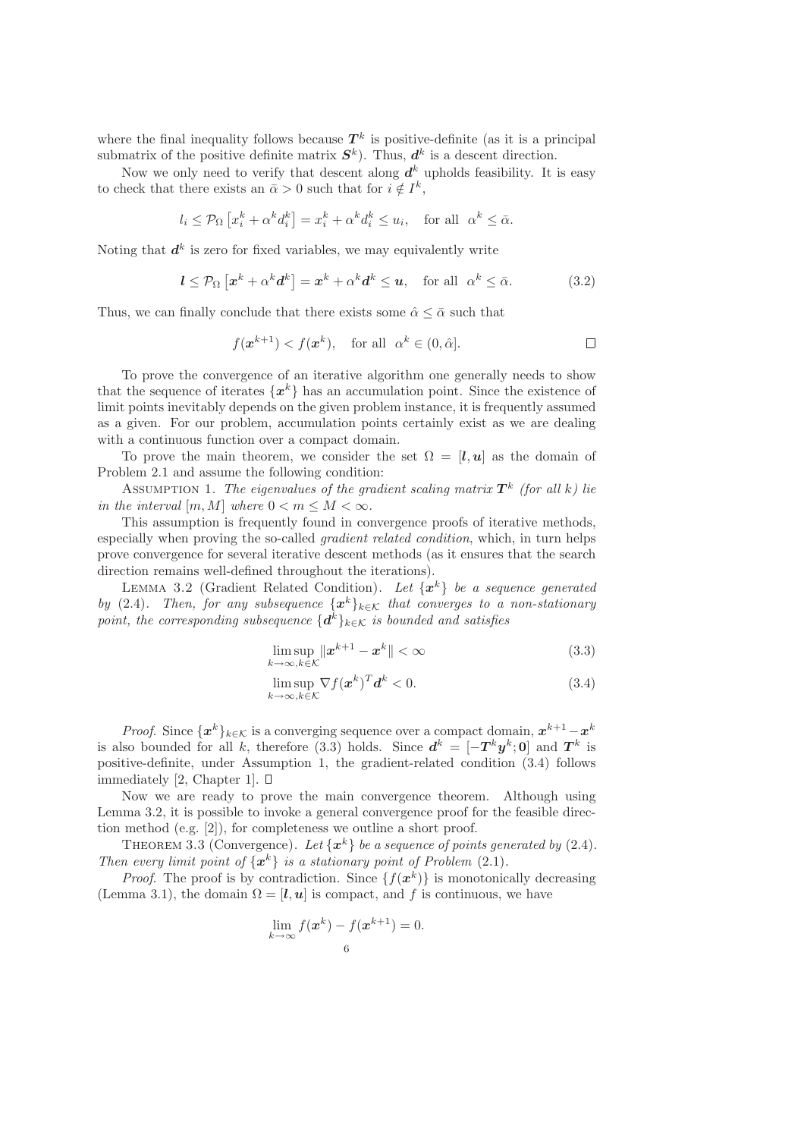where the final inequality follows because  $T^k$  is positive-definite (as it is a principal submatrix of the positive definite matrix  $S^k$ ). Thus,  $d^k$  is a descent direction.

Now we only need to verify that descent along  $d^k$  upholds feasibility. It is easy to check that there exists an  $\bar{\alpha} > 0$  such that for  $i \notin I^k$ ,

$$
l_i \leq \mathcal{P}_{\Omega} \left[ x_i^k + \alpha^k d_i^k \right] = x_i^k + \alpha^k d_i^k \leq u_i, \text{ for all } \alpha^k \leq \bar{\alpha}.
$$

Noting that  $d^k$  is zero for fixed variables, we may equivalently write

$$
l \leq \mathcal{P}_{\Omega} \left[ \boldsymbol{x}^k + \alpha^k \boldsymbol{d}^k \right] = \boldsymbol{x}^k + \alpha^k \boldsymbol{d}^k \leq \boldsymbol{u}, \quad \text{for all} \ \alpha^k \leq \bar{\alpha}.
$$
 (3.2)

Thus, we can finally conclude that there exists some  $\hat{\alpha} \leq \bar{\alpha}$  such that

$$
f(\mathbf{x}^{k+1}) < f(\mathbf{x}^k), \quad \text{for all} \ \alpha^k \in (0, \hat{\alpha}]. \tag{}
$$

To prove the convergence of an iterative algorithm one generally needs to show that the sequence of iterates  $\{x^k\}$  has an accumulation point. Since the existence of limit points inevitably depends on the given problem instance, it is frequently assumed as a given. For our problem, accumulation points certainly exist as we are dealing with a continuous function over a compact domain.

To prove the main theorem, we consider the set  $\Omega = [\mathbf{l}, \mathbf{u}]$  as the domain of Problem 2.1 and assume the following condition:

Assumption 1. The eigenvalues of the gradient scaling matrix  $T^k$  (for all k) lie *in the interval*  $[m, M]$  *where*  $0 < m \leq M < \infty$ *.* 

This assumption is frequently found in convergence proofs of iterative methods, especially when proving the so-called *gradient related condition*, which, in turn helps prove convergence for several iterative descent methods (as it ensures that the search direction remains well-defined throughout the iterations).

LEMMA 3.2 (Gradient Related Condition). Let  $\{x^k\}$  be a sequence generated *by* (2.4)*.* Then, for any subsequence  $\{x^k\}_{k\in\mathcal{K}}$  that converges to a non-stationary  $\emph{point, the corresponding subsequence $\{d^k\}_{k\in\mathcal{K}}$ is bounded and satisfies}$ 

$$
\limsup_{k \to \infty, k \in \mathcal{K}} \|x^{k+1} - x^k\| < \infty \tag{3.3}
$$

$$
\limsup_{k \to \infty, k \in \mathcal{K}} \nabla f(\boldsymbol{x}^k)^T \boldsymbol{d}^k < 0. \tag{3.4}
$$

*Proof.* Since  $\{x^k\}_{k\in\mathcal{K}}$  is a converging sequence over a compact domain,  $x^{k+1}-x^k$ is also bounded for all k, therefore (3.3) holds. Since  $d^k = [-T^k y^k; 0]$  and  $T^k$  is positive-definite, under Assumption 1, the gradient-related condition (3.4) follows immediately [2, Chapter 1].  $\square$ 

Now we are ready to prove the main convergence theorem. Although using Lemma 3.2, it is possible to invoke a general convergence proof for the feasible direction method (e.g. [2]), for completeness we outline a short proof.

THEOREM 3.3 (Convergence). Let  $\{x^k\}$  be a sequence of points generated by (2.4). *Then every limit point of*  $\{x^k\}$  *is a stationary point of Problem (2.1).* 

*Proof.* The proof is by contradiction. Since  $\{f(x^k)\}\$ is monotonically decreasing (Lemma 3.1), the domain  $\Omega = [\mathbf{l}, \mathbf{u}]$  is compact, and f is continuous, we have

$$
\lim_{k \to \infty} f(\mathbf{x}^k) - f(\mathbf{x}^{k+1}) = 0.
$$
  
6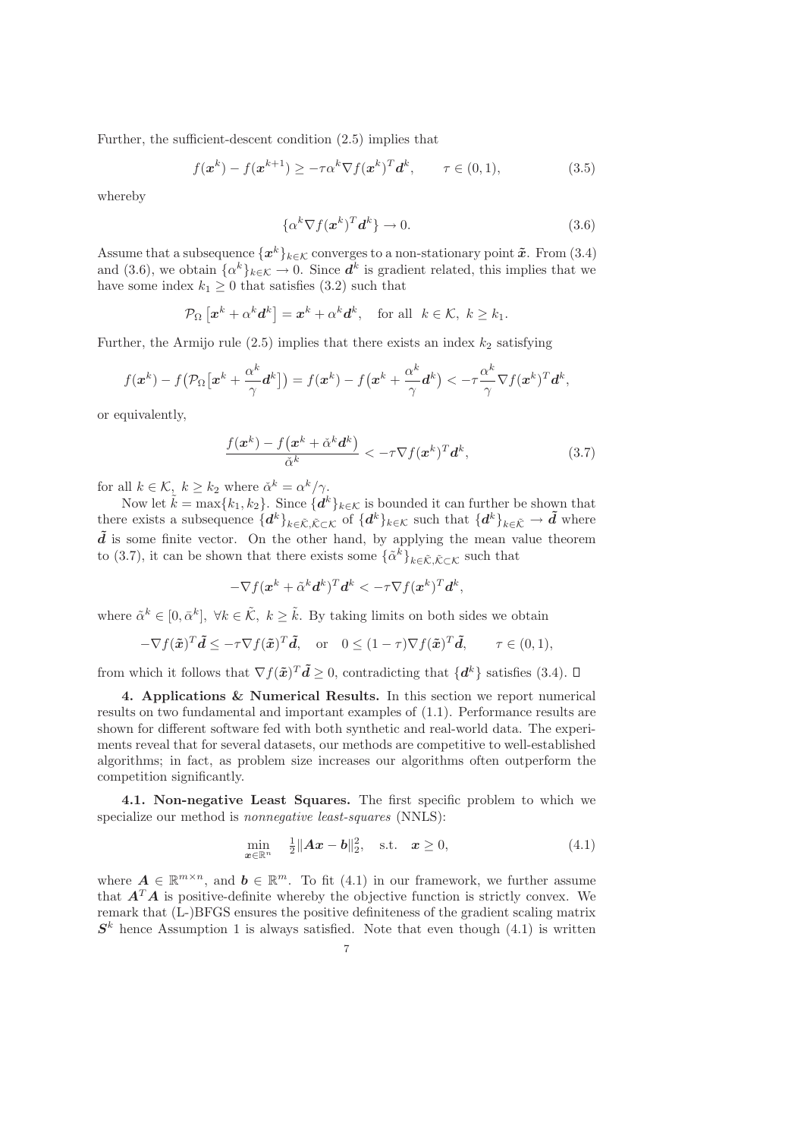Further, the sufficient-descent condition (2.5) implies that

$$
f(\boldsymbol{x}^k) - f(\boldsymbol{x}^{k+1}) \ge -\tau \alpha^k \nabla f(\boldsymbol{x}^k)^T \boldsymbol{d}^k, \qquad \tau \in (0,1), \tag{3.5}
$$

whereby

$$
\{\alpha^k \nabla f(\boldsymbol{x}^k)^T \boldsymbol{d}^k\} \to 0. \tag{3.6}
$$

Assume that a subsequence  $\{x^k\}_{k\in\mathcal{K}}$  converges to a non-stationary point  $\tilde{x}$ . From (3.4) and (3.6), we obtain  $\{\alpha^k\}_{k\in\mathcal{K}} \to 0$ . Since  $\boldsymbol{d}^k$  is gradient related, this implies that we have some index  $k_1 \geq 0$  that satisfies (3.2) such that

$$
\mathcal{P}_{\Omega}\left[\boldsymbol{x}^{k}+\alpha^{k}\boldsymbol{d}^{k}\right]=\boldsymbol{x}^{k}+\alpha^{k}\boldsymbol{d}^{k},\quad\text{for all}\ \ k\in\mathcal{K},\ k\geq k_{1}.
$$

Further, the Armijo rule  $(2.5)$  implies that there exists an index  $k_2$  satisfying

$$
f(\boldsymbol{x}^k) - f(\mathcal{P}_{\Omega}[\boldsymbol{x}^k + \frac{\alpha^k}{\gamma} \boldsymbol{d}^k]) = f(\boldsymbol{x}^k) - f(\boldsymbol{x}^k + \frac{\alpha^k}{\gamma} \boldsymbol{d}^k) < -\tau \frac{\alpha^k}{\gamma} \nabla f(\boldsymbol{x}^k)^T \boldsymbol{d}^k,
$$

or equivalently,

$$
\frac{f(\boldsymbol{x}^k) - f(\boldsymbol{x}^k + \check{\alpha}^k \boldsymbol{d}^k)}{\check{\alpha}^k} < -\tau \nabla f(\boldsymbol{x}^k)^T \boldsymbol{d}^k,\tag{3.7}
$$

for all  $k \in \mathcal{K}$ ,  $k \geq k_2$  where  $\check{\alpha}^k = \alpha^k / \gamma$ .

Now let  $\tilde{k} = \max\{k_1, k_2\}$ . Since  $\{d^k\}_{k \in \mathcal{K}}$  is bounded it can further be shown that there exists a subsequence  $\{d^k\}_{k\in\tilde{\mathcal{K}},\tilde{\mathcal{K}}\subset\mathcal{K}}\}$  of  $\{d^k\}_{k\in\mathcal{K}}$  such that  $\{d^k\}_{k\in\tilde{\mathcal{K}}}\to\tilde{d}$  where  $\tilde{d}$  is some finite vector. On the other hand, by applying the mean value theorem to (3.7), it can be shown that there exists some  $\{\tilde{\alpha}^k\}_{k\in\tilde{\mathcal{K}},\tilde{\mathcal{K}}\subset\mathcal{K}}$  such that

$$
-\nabla f(\boldsymbol{x}^k+\tilde{\alpha}^k\boldsymbol{d}^k)^T\boldsymbol{d}^k<-\tau\nabla f(\boldsymbol{x}^k)^T\boldsymbol{d}^k,
$$

where  $\tilde{\alpha}^k \in [0, \bar{\alpha}^k]$ ,  $\forall k \in \tilde{\mathcal{K}}$ ,  $k \geq \tilde{k}$ . By taking limits on both sides we obtain

$$
-\nabla f(\tilde{\boldsymbol{x}})^T \tilde{\boldsymbol{d}} \leq -\tau \nabla f(\tilde{\boldsymbol{x}})^T \tilde{\boldsymbol{d}}, \quad \text{or} \quad 0 \leq (1-\tau) \nabla f(\tilde{\boldsymbol{x}})^T \tilde{\boldsymbol{d}}, \qquad \tau \in (0,1),
$$

from which it follows that  $\nabla f(\tilde{x})^T \tilde{d} \geq 0$ , contradicting that  $\{d^k\}$  satisfies (3.4).

4. Applications & Numerical Results. In this section we report numerical results on two fundamental and important examples of (1.1). Performance results are shown for different software fed with both synthetic and real-world data. The experiments reveal that for several datasets, our methods are competitive to well-established algorithms; in fact, as problem size increases our algorithms often outperform the competition significantly.

4.1. Non-negative Least Squares. The first specific problem to which we specialize our method is *nonnegative least-squares* (NNLS):

$$
\min_{\pmb{x}\in\mathbb{R}^n} \quad \frac{1}{2} \|\pmb{A}\pmb{x} - \pmb{b}\|_2^2, \quad \text{s.t.} \quad \pmb{x} \ge 0,
$$
\n(4.1)

where  $A \in \mathbb{R}^{m \times n}$ , and  $b \in \mathbb{R}^m$ . To fit (4.1) in our framework, we further assume that  $A<sup>T</sup>A$  is positive-definite whereby the objective function is strictly convex. We remark that (L-)BFGS ensures the positive definiteness of the gradient scaling matrix  $S<sup>k</sup>$  hence Assumption 1 is always satisfied. Note that even though (4.1) is written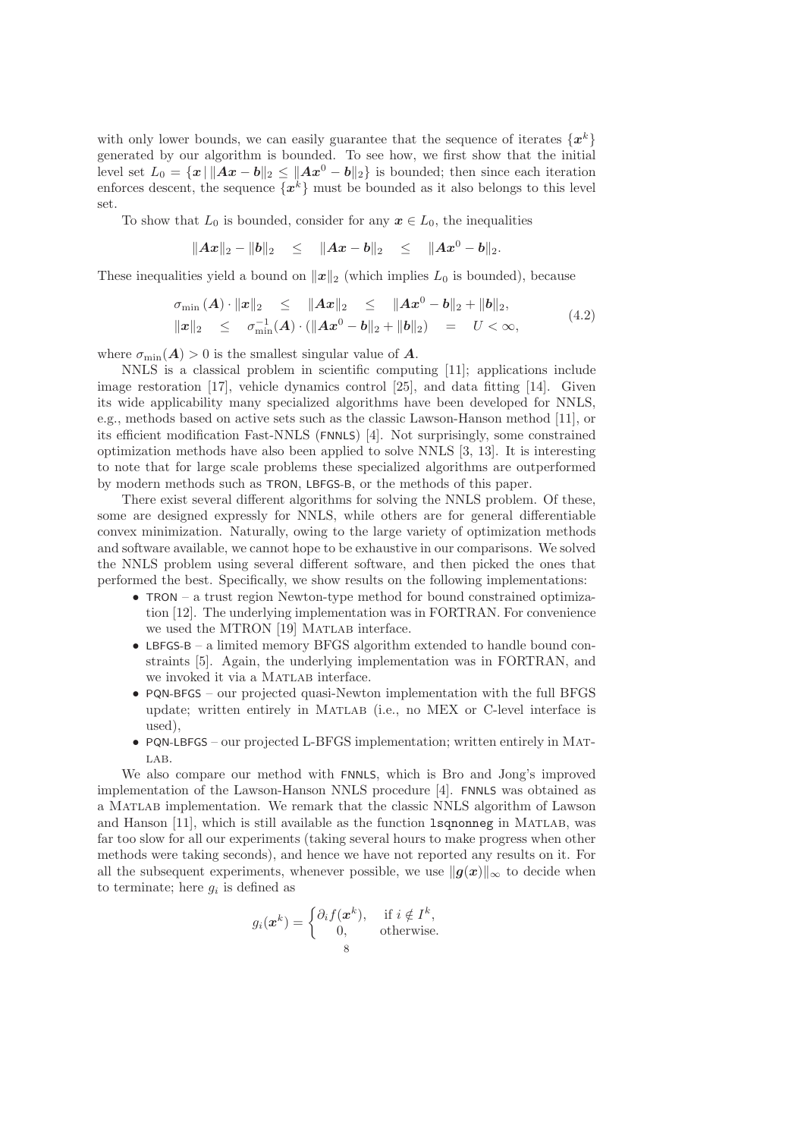with only lower bounds, we can easily guarantee that the sequence of iterates  $\{x^k\}$ generated by our algorithm is bounded. To see how, we first show that the initial level set  $L_0 = \{x \mid ||Ax - b||_2 \le ||Ax^0 - b||_2 \}$  is bounded; then since each iteration enforces descent, the sequence  $\{x^k\}$  must be bounded as it also belongs to this level set.

To show that  $L_0$  is bounded, consider for any  $x \in L_0$ , the inequalities

$$
||Ax||_2 - ||b||_2 \le ||Ax - b||_2 \le ||Ax^0 - b||_2.
$$

These inequalities yield a bound on  $||x||_2$  (which implies  $L_0$  is bounded), because

$$
\sigma_{\min}(A) \cdot ||x||_2 \le ||Ax||_2 \le ||Ax^0 - b||_2 + ||b||_2, ||x||_2 \le \sigma_{\min}^{-1}(A) \cdot (||Ax^0 - b||_2 + ||b||_2) = U < \infty,
$$
\n(4.2)

where  $\sigma_{\min}(A) > 0$  is the smallest singular value of A.

NNLS is a classical problem in scientific computing [11]; applications include image restoration [17], vehicle dynamics control [25], and data fitting [14]. Given its wide applicability many specialized algorithms have been developed for NNLS, e.g., methods based on active sets such as the classic Lawson-Hanson method [11], or its efficient modification Fast-NNLS (FNNLS) [4]. Not surprisingly, some constrained optimization methods have also been applied to solve NNLS [3, 13]. It is interesting to note that for large scale problems these specialized algorithms are outperformed by modern methods such as TRON, LBFGS-B, or the methods of this paper.

There exist several different algorithms for solving the NNLS problem. Of these, some are designed expressly for NNLS, while others are for general differentiable convex minimization. Naturally, owing to the large variety of optimization methods and software available, we cannot hope to be exhaustive in our comparisons. We solved the NNLS problem using several different software, and then picked the ones that performed the best. Specifically, we show results on the following implementations:

- TRON a trust region Newton-type method for bound constrained optimization [12]. The underlying implementation was in FORTRAN. For convenience we used the MTRON [19] MATLAB interface.
- LBFGS-B a limited memory BFGS algorithm extended to handle bound constraints [5]. Again, the underlying implementation was in FORTRAN, and we invoked it via a MATLAB interface.
- PQN-BFGS our projected quasi-Newton implementation with the full BFGS update; written entirely in Matlab (i.e., no MEX or C-level interface is used),
- PQN-LBFGS our projected L-BFGS implementation; written entirely in Mat- $LAB$ .

We also compare our method with FNNLS, which is Bro and Jong's improved implementation of the Lawson-Hanson NNLS procedure [4]. FNNLS was obtained as a Matlab implementation. We remark that the classic NNLS algorithm of Lawson and Hanson [11], which is still available as the function **lsononneg** in MATLAB, was far too slow for all our experiments (taking several hours to make progress when other methods were taking seconds), and hence we have not reported any results on it. For all the subsequent experiments, whenever possible, we use  $\|g(x)\|_{\infty}$  to decide when to terminate; here  $g_i$  is defined as

$$
g_i(\boldsymbol{x}^k) = \begin{cases} \partial_i f(\boldsymbol{x}^k), & \text{if } i \notin I^k, \\ 0, & \text{otherwise.} \end{cases}
$$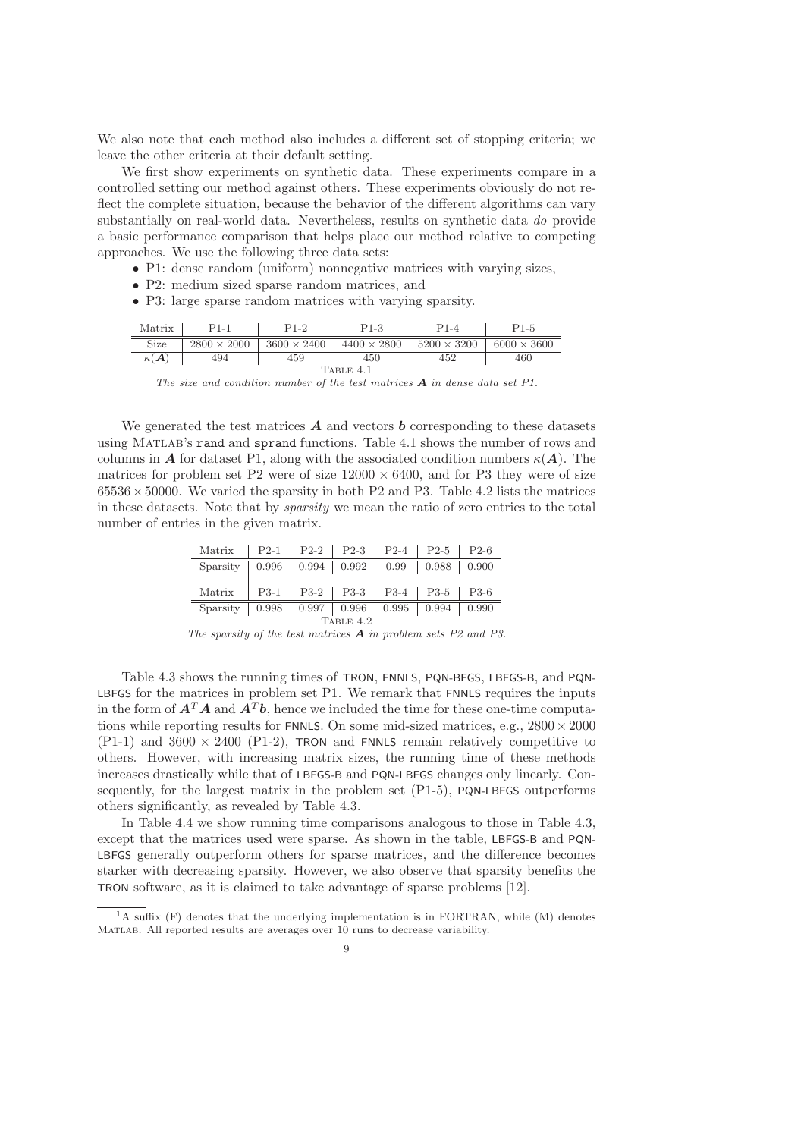We also note that each method also includes a different set of stopping criteria; we leave the other criteria at their default setting.

We first show experiments on synthetic data. These experiments compare in a controlled setting our method against others. These experiments obviously do not reflect the complete situation, because the behavior of the different algorithms can vary substantially on real-world data. Nevertheless, results on synthetic data *do* provide a basic performance comparison that helps place our method relative to competing approaches. We use the following three data sets:

- P1: dense random (uniform) nonnegative matrices with varying sizes,
- P2: medium sized sparse random matrices, and
- P3: large sparse random matrices with varying sparsity.

| Matrix                   | $P1-1$             | P1-2               | $P1-3$             | P1-4               | P1-5               |  |  |
|--------------------------|--------------------|--------------------|--------------------|--------------------|--------------------|--|--|
| Size                     | $2800 \times 2000$ | $3600 \times 2400$ | $4400 \times 2800$ | $5200 \times 3200$ | $6000 \times 3600$ |  |  |
| $\kappa(\boldsymbol{A})$ | 494                | 459                | 450                | 452                | 460                |  |  |
| Table 4.1                |                    |                    |                    |                    |                    |  |  |

*The size and condition number of the test matrices* A *in dense data set P1.*

We generated the test matrices  $\boldsymbol{A}$  and vectors  $\boldsymbol{b}$  corresponding to these datasets using Matlab's rand and sprand functions. Table 4.1 shows the number of rows and columns in A for dataset P1, along with the associated condition numbers  $\kappa(A)$ . The matrices for problem set P2 were of size  $12000 \times 6400$ , and for P3 they were of size  $65536 \times 50000$ . We varied the sparsity in both P2 and P3. Table 4.2 lists the matrices in these datasets. Note that by *sparsity* we mean the ratio of zero entries to the total number of entries in the given matrix.

| Matrix   P2-1   P2-2   P2-3   P2-4   P2-5   P2-6         |  |  |  |
|----------------------------------------------------------|--|--|--|
| Sparsity   0.996   0.994   0.992   0.99   0.988   0.900  |  |  |  |
|                                                          |  |  |  |
| Matrix   P3-1   P3-2   P3-3   P3-4   P3-5   P3-6         |  |  |  |
| Sparsity   0.998   0.997   0.996   0.995   0.994   0.990 |  |  |  |

*The sparsity of the test matrices* A *in problem sets P2 and P3.*

Table 4.3 shows the running times of TRON, FNNLS, PQN-BFGS, LBFGS-B, and PQN-LBFGS for the matrices in problem set P1. We remark that FNNLS requires the inputs in the form of  $\mathbf{A}^T \mathbf{A}$  and  $\mathbf{A}^T \mathbf{b}$ , hence we included the time for these one-time computations while reporting results for FNNLS. On some mid-sized matrices, e.g.,  $2800 \times 2000$  $(P1-1)$  and  $3600 \times 2400$   $(P1-2)$ , TRON and FNNLS remain relatively competitive to others. However, with increasing matrix sizes, the running time of these methods increases drastically while that of LBFGS-B and PQN-LBFGS changes only linearly. Consequently, for the largest matrix in the problem set (P1-5), PQN-LBFGS outperforms others significantly, as revealed by Table 4.3.

In Table 4.4 we show running time comparisons analogous to those in Table 4.3, except that the matrices used were sparse. As shown in the table, LBFGS-B and PQN-LBFGS generally outperform others for sparse matrices, and the difference becomes starker with decreasing sparsity. However, we also observe that sparsity benefits the TRON software, as it is claimed to take advantage of sparse problems [12].

 ${}^{1}$ A suffix (F) denotes that the underlying implementation is in FORTRAN, while (M) denotes Matlab. All reported results are averages over 10 runs to decrease variability.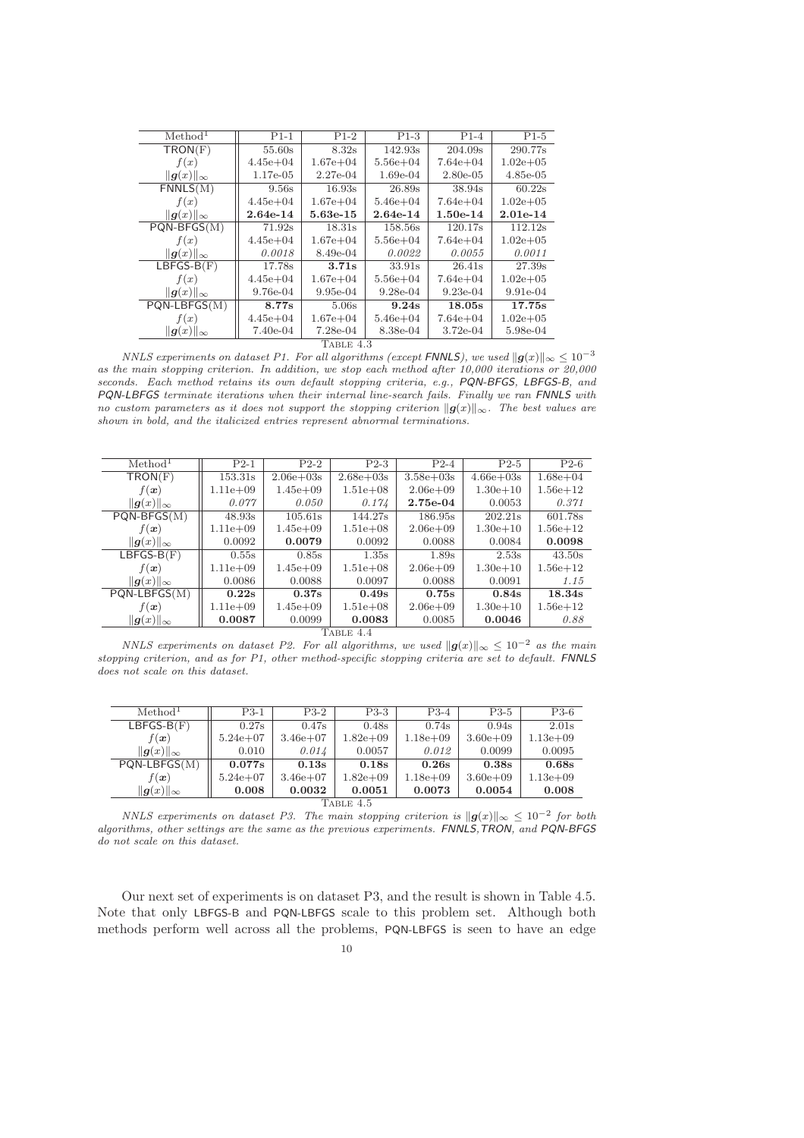| Method <sup>1</sup>              | $P1-1$       | $P1-2$       | $P1-3$       | $P1-4$       | $P1-5$        |  |  |  |
|----------------------------------|--------------|--------------|--------------|--------------|---------------|--|--|--|
| TRON(F)                          | 55.60s       | 8.32s        | 142.93s      | 204.09s      | 290.77s       |  |  |  |
| f(x)                             | $4.45e + 04$ | $1.67e + 04$ | $5.56e + 04$ | $7.64e + 04$ | $1.02e + 0.5$ |  |  |  |
| $  g(x)  _{\infty}$              | $1.17e-0.5$  | $2.27e-04$   | $1.69e-04$   | $2.80e-0.5$  | $4.85e-05$    |  |  |  |
| FNNLS(M)                         | 9.56s        | 16.93s       | 26.89s       | 38.94s       | $60.22$ s     |  |  |  |
| f(x)                             | $4.45e + 04$ | $1.67e + 04$ | $5.46e + 04$ | $7.64e + 04$ | $1.02e + 0.5$ |  |  |  |
| $  \boldsymbol{g}(x)  _{\infty}$ | 2.64e-14     | 5.63e-15     | $2.64e-14$   | $1.50e-14$   | $2.01e-14$    |  |  |  |
| $PQN-BFGS(M)$                    | 71.92s       | 18.31s       | 158.56s      | 120.17s      | 112.12s       |  |  |  |
| f(x)                             | $4.45e + 04$ | $1.67e + 04$ | $5.56e + 04$ | $7.64e + 04$ | $1.02e + 0.5$ |  |  |  |
| $  \boldsymbol{g}(x)  _{\infty}$ | 0.0018       | 8.49e-04     | 0.0022       | 0.0055       | 0.0011        |  |  |  |
| $LBFGS-B(F)$                     | 17.78s       | 3.71s        | 33.91s       | 26.41s       | 27.39s        |  |  |  |
| f(x)                             | $4.45e + 04$ | $1.67e + 04$ | $5.56e + 04$ | $7.64e + 04$ | $1.02e + 0.5$ |  |  |  |
| $  \boldsymbol{g}(x)  _{\infty}$ | 9.76e-04     | $9.95e-04$   | $9.28e-04$   | $9.23e-04$   | $9.91e-04$    |  |  |  |
| $PQN-LBFGS(M)$                   | 8.77s        | 5.06s        | 9.24s        | 18.05s       | 17.75s        |  |  |  |
| f(x)                             | $4.45e + 04$ | $1.67e + 04$ | $5.46e + 04$ | $7.64e + 04$ | $1.02e + 0.5$ |  |  |  |
| $  g(x)  _{\infty}$              | 7.40e-04     | $7.28e-04$   | 8.38e-04     | $3.72e-04$   | 5.98e-04      |  |  |  |
| TABLE 4.3                        |              |              |              |              |               |  |  |  |

*NNLS experiments on dataset P1. For all algorithms (except* FNNLS), we used  $||g(x)||_{\infty} \leq 10^{-3}$ *as the main stopping criterion. In addition, we stop each method after 10,000 iterations or 20,000 seconds. Each method retains its own default stopping criteria, e.g.,* PQN-BFGS*,* LBFGS-B*, and* PQN-LBFGS *terminate iterations when their internal line-search fails. Finally we ran* FNNLS *with no custom parameters as it does not support the stopping criterion*  $||g(x)||_{\infty}$ *. The best values are shown in bold, and the italicized entries represent abnormal terminations.*

| Method <sup>1</sup> | $P2-1$       | $P2-2$         | $P2-3$        | $P2-4$        | $P2-5$        | $P2-6$       |  |  |
|---------------------|--------------|----------------|---------------|---------------|---------------|--------------|--|--|
| TRON(F)             | 153.31s      | $2.06e + 0.3s$ | $2.68e + 03s$ | $3.58e + 03s$ | $4.66e + 03s$ | $1.68e + 04$ |  |  |
| $f(\boldsymbol{x})$ | $1.11e + 09$ | $1.45e + 09$   | $1.51e + 08$  | $2.06e + 09$  | $1.30e + 10$  | $1.56e + 12$ |  |  |
| $  g(x)  _{\infty}$ | 0.077        | 0.050          | 0.174         | 2.75e-04      | 0.0053        | 0.371        |  |  |
| $PQN-BFGS(M)$       | 48.93s       | 105.61s        | 144.27s       | 186.95s       | 202.21s       | 601.78s      |  |  |
| $f(\boldsymbol{x})$ | $1.11e + 09$ | $1.45e+09$     | $1.51e+08$    | $2.06e + 09$  | $1.30e + 10$  | $1.56e + 12$ |  |  |
| $  g(x)  _{\infty}$ | 0.0092       | 0.0079         | 0.0092        | 0.0088        | 0.0084        | 0.0098       |  |  |
| $LBFGS-B(F)$        | 0.55s        | 0.85s          | 1.35s         | 1.89s         | 2.53s         | 43.50s       |  |  |
| $f(\boldsymbol{x})$ | $1.11e + 09$ | $1.45e+09$     | $1.51e + 08$  | $2.06e + 09$  | $1.30e + 10$  | $1.56e + 12$ |  |  |
| $  g(x)  _{\infty}$ | 0.0086       | 0.0088         | 0.0097        | 0.0088        | 0.0091        | 1.15         |  |  |
| $PQN-LBFGS(M)$      | 0.22s        | 0.37s          | 0.49s         | 0.75s         | 0.84s         | 18.34s       |  |  |
| $f(\boldsymbol{x})$ | $1.11e + 09$ | $1.45e+09$     | $1.51e + 08$  | $2.06e + 09$  | $1.30e + 10$  | $1.56e + 12$ |  |  |
| $  g(x)  _{\infty}$ | 0.0087       | 0.0099         | 0.0083        | 0.0085        | 0.0046        | 0.88         |  |  |
| TABLE 4.4           |              |                |               |               |               |              |  |  |

*NNLS experiments on dataset P2. For all algorithms, we used*  $||g(x)||_{\infty} \leq 10^{-2}$  *as the main stopping criterion, and as for P1, other method-specific stopping criteria are set to default.* FNNLS *does not scale on this dataset.*

| Method <sup>1</sup> | $P3-1$       | $P3-2$       | $P3-3$        | $P3-4$       | $P3-5$        | P3-6         |  |  |
|---------------------|--------------|--------------|---------------|--------------|---------------|--------------|--|--|
| $LBFGS-B(F)$        | 0.27s        | 0.47s        | 0.48s         | 0.74s        | 0.94s         | 2.01s        |  |  |
| $f(\boldsymbol{x})$ | $5.24e + 07$ | $3.46e + 07$ | $1.82e + 0.9$ | $1.18e + 09$ | $3.60e + 0.9$ | $1.13e + 09$ |  |  |
| $  g(x)  _{\infty}$ | 0.010        | 0.014        | 0.0057        | 0.012        | 0.0099        | 0.0095       |  |  |
| $PQN-LBFGS(M)$      | 0.077s       | 0.13s        | 0.18s         | 0.26s        | 0.38s         | 0.68s        |  |  |
| $f(\boldsymbol{x})$ | $5.24e + 07$ | $3.46e + 07$ | $1.82e + 0.9$ | $1.18e + 09$ | $3.60e + 0.9$ | $1.13e + 09$ |  |  |
| $  g(x)  _{\infty}$ | 0.008        | 0.0032       | 0.0051        | 0.0073       | 0.0054        | 0.008        |  |  |
| TABLE 4.5           |              |              |               |              |               |              |  |  |

*NNLS experiments on dataset P3. The main stopping criterion is*  $||g(x)||_{\infty} \leq 10^{-2}$  *for both algorithms, other settings are the same as the previous experiments.* FNNLS*,*TRON*, and* PQN-BFGS *do not scale on this dataset.*

Our next set of experiments is on dataset P3, and the result is shown in Table 4.5. Note that only LBFGS-B and PQN-LBFGS scale to this problem set. Although both methods perform well across all the problems, PQN-LBFGS is seen to have an edge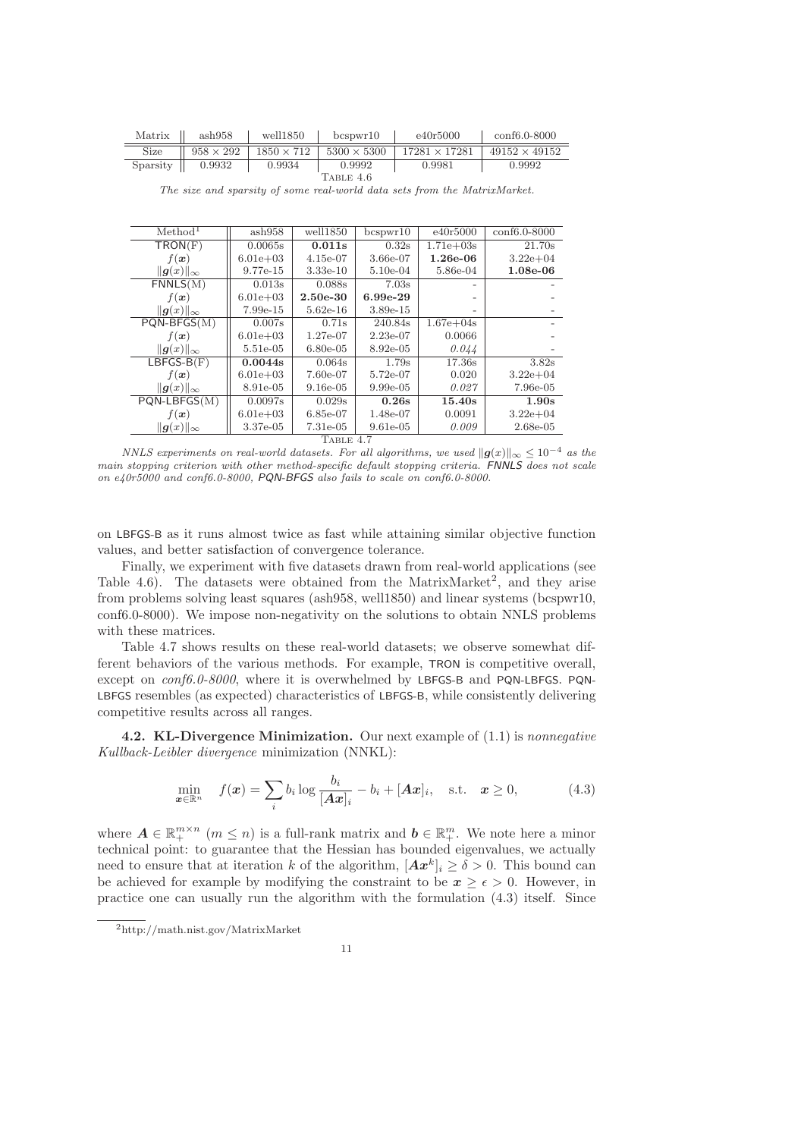| Matrix    | ash958           | well1850          | bcswr10            | e40r5000             | $\rm conf6.0-8000$   |  |  |
|-----------|------------------|-------------------|--------------------|----------------------|----------------------|--|--|
| Size      | $958 \times 292$ | $1850 \times 712$ | $5300 \times 5300$ | $17281 \times 17281$ | $49152 \times 49152$ |  |  |
| Sparsity  | 0.9932           | 0.9934            | 0.9992             | 0.9981               | 0.9992               |  |  |
| TABLE 4.6 |                  |                   |                    |                      |                      |  |  |

*The size and sparsity of some real-world data sets from the MatrixMarket.*

| Method <sup>1</sup> | ash958       | well1850    | bcspwr10    | e40r5000      | conf6.0-8000 |  |  |  |
|---------------------|--------------|-------------|-------------|---------------|--------------|--|--|--|
| TRON(F)             | 0.0065s      | 0.011s      | 0.32s       | $1.71e + 03s$ | 21.70s       |  |  |  |
| $f(\boldsymbol{x})$ | $6.01e + 03$ | $4.15e-07$  | 3.66e-07    | $1.26e-06$    | $3.22e + 04$ |  |  |  |
| $  g(x)  _{\infty}$ | 9.77e-15     | $3.33e-10$  | $5.10e-04$  | 5.86e-04      | 1.08e-06     |  |  |  |
| FNNLS(M)            | 0.013s       | 0.088s      | 7.03s       |               |              |  |  |  |
| $f(\boldsymbol{x})$ | $6.01e + 03$ | $2.50e-30$  | 6.99e-29    |               |              |  |  |  |
| $  g(x)  _{\infty}$ | 7.99e-15     | $5.62e-16$  | 3.89e-15    |               |              |  |  |  |
| $PQN-BFGS(M)$       | 0.007s       | 0.71s       | 240.84s     | $1.67e + 04s$ |              |  |  |  |
| $f(\boldsymbol{x})$ | $6.01e + 03$ | 1.27e-07    | $2.23e-07$  | 0.0066        |              |  |  |  |
| $  g(x)  _{\infty}$ | 5.51e-05     | $6.80e-0.5$ | 8.92e-05    | 0.044         |              |  |  |  |
| $LBFGS-B(F)$        | 0.0044s      | 0.064s      | 1.79s       | 17.36s        | 3.82s        |  |  |  |
| $f(\boldsymbol{x})$ | $6.01e + 03$ | 7.60e-07    | 5.72e-07    | 0.020         | $3.22e + 04$ |  |  |  |
| $  g(x)  _{\infty}$ | 8.91e-05     | $9.16e-05$  | $9.99e-05$  | 0.027         | 7.96e-05     |  |  |  |
| $PQN-LBFGS(M)$      | 0.0097s      | 0.029s      | 0.26s       | 15.40s        | 1.90s        |  |  |  |
| $f(\boldsymbol{x})$ | $6.01e + 03$ | 6.85e-07    | 1.48e-07    | 0.0091        | $3.22e + 04$ |  |  |  |
| $  g(x)  _{\infty}$ | 3.37e-05     | 7.31e-05    | $9.61e-0.5$ | 0.009         | 2.68e-05     |  |  |  |
| $\pi$ . $\pi$       |              |             |             |               |              |  |  |  |

Table 4.7

*NNLS experiments on real-world datasets. For all algorithms, we used*  $||g(x)||_{\infty} \leq 10^{-4}$  *as the main stopping criterion with other method-specific default stopping criteria.* FNNLS *does not scale on e40r5000 and conf6.0-8000,* PQN-BFGS *also fails to scale on conf6.0-8000.*

on LBFGS-B as it runs almost twice as fast while attaining similar objective function values, and better satisfaction of convergence tolerance.

Finally, we experiment with five datasets drawn from real-world applications (see Table 4.6). The datasets were obtained from the MatrixMarket<sup>2</sup>, and they arise from problems solving least squares (ash958, well1850) and linear systems (bcspwr10, conf6.0-8000). We impose non-negativity on the solutions to obtain NNLS problems with these matrices.

Table 4.7 shows results on these real-world datasets; we observe somewhat different behaviors of the various methods. For example, TRON is competitive overall, except on *conf6.0-8000*, where it is overwhelmed by LBFGS-B and PQN-LBFGS. PQN-LBFGS resembles (as expected) characteristics of LBFGS-B, while consistently delivering competitive results across all ranges.

4.2. KL-Divergence Minimization. Our next example of (1.1) is *nonnegative Kullback-Leibler divergence* minimization (NNKL):

$$
\min_{\boldsymbol{x} \in \mathbb{R}^n} \quad f(\boldsymbol{x}) = \sum_i b_i \log \frac{b_i}{[\boldsymbol{A}\boldsymbol{x}]_i} - b_i + [\boldsymbol{A}\boldsymbol{x}]_i, \quad \text{s.t.} \quad \boldsymbol{x} \ge 0,
$$
\n(4.3)

where  $A \in \mathbb{R}_+^{m \times n}$   $(m \leq n)$  is a full-rank matrix and  $b \in \mathbb{R}_+^m$ . We note here a minor technical point: to guarantee that the Hessian has bounded eigenvalues, we actually need to ensure that at iteration k of the algorithm,  $[Ax^k]_i \ge \delta > 0$ . This bound can be achieved for example by modifying the constraint to be  $x \geq \epsilon > 0$ . However, in practice one can usually run the algorithm with the formulation (4.3) itself. Since

<sup>2</sup>http://math.nist.gov/MatrixMarket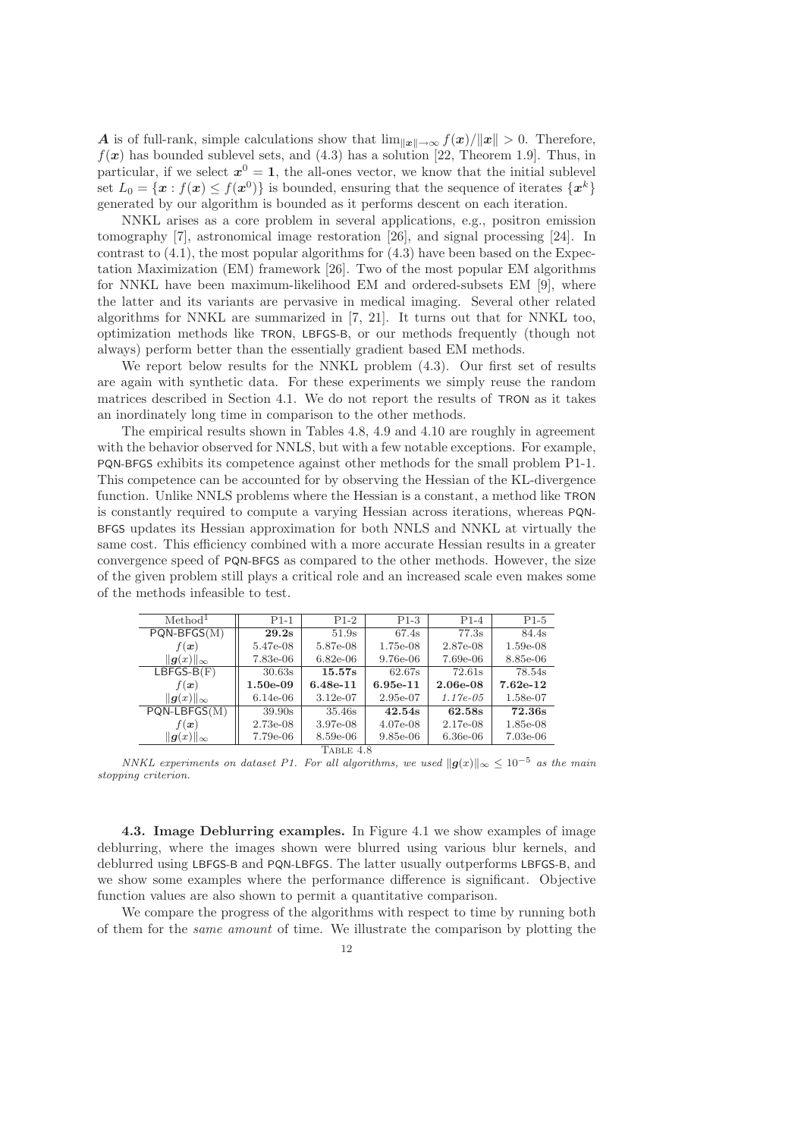A is of full-rank, simple calculations show that  $\lim_{\|\bm{x}\| \to \infty} f(\bm{x})/\|\bm{x}\| > 0$ . Therefore,  $f(x)$  has bounded sublevel sets, and (4.3) has a solution [22, Theorem 1.9]. Thus, in particular, if we select  $x^0 = 1$ , the all-ones vector, we know that the initial sublevel set  $L_0 = \{x : f(x) \le f(x^0)\}\$ is bounded, ensuring that the sequence of iterates  $\{x^k\}$ generated by our algorithm is bounded as it performs descent on each iteration.

NNKL arises as a core problem in several applications, e.g., positron emission tomography [7], astronomical image restoration [26], and signal processing [24]. In contrast to  $(4.1)$ , the most popular algorithms for  $(4.3)$  have been based on the Expectation Maximization (EM) framework [26]. Two of the most popular EM algorithms for NNKL have been maximum-likelihood EM and ordered-subsets EM [9], where the latter and its variants are pervasive in medical imaging. Several other related algorithms for NNKL are summarized in [7, 21]. It turns out that for NNKL too, optimization methods like TRON, LBFGS-B, or our methods frequently (though not always) perform better than the essentially gradient based EM methods.

We report below results for the NNKL problem (4.3). Our first set of results are again with synthetic data. For these experiments we simply reuse the random matrices described in Section 4.1. We do not report the results of TRON as it takes an inordinately long time in comparison to the other methods.

The empirical results shown in Tables 4.8, 4.9 and 4.10 are roughly in agreement with the behavior observed for NNLS, but with a few notable exceptions. For example, PQN-BFGS exhibits its competence against other methods for the small problem P1-1. This competence can be accounted for by observing the Hessian of the KL-divergence function. Unlike NNLS problems where the Hessian is a constant, a method like TRON is constantly required to compute a varying Hessian across iterations, whereas PQN-BFGS updates its Hessian approximation for both NNLS and NNKL at virtually the same cost. This efficiency combined with a more accurate Hessian results in a greater convergence speed of PQN-BFGS as compared to the other methods. However, the size of the given problem still plays a critical role and an increased scale even makes some of the methods infeasible to test.

| Method <sup>1</sup> | $P1-1$     | $P1-2$     | $P1-3$     | $P1-4$      | $P1-5$     |  |  |
|---------------------|------------|------------|------------|-------------|------------|--|--|
| $PQN-BFGS(M)$       | 29.2s      | 51.9s      | 67.4s      | 77.3s       | 84.4s      |  |  |
| $f(\boldsymbol{x})$ | 5.47e-08   | 5.87e-08   | 1.75e-08   | 2.87e-08    | $1.59e-08$ |  |  |
| $  g(x)  _{\infty}$ | 7.83e-06   | $6.82e-06$ | 9.76e-06   | 7.69e-06    | 8.85e-06   |  |  |
| $LBFGS-B(F)$        | 30.63s     | 15.57s     | 62.67s     | 72.61s      | 78.54s     |  |  |
| $f(\boldsymbol{x})$ | $1.50e-09$ | $6.48e-11$ | $6.95e-11$ | $2.06e-08$  | $7.62e-12$ |  |  |
| $  g(x)  _{\infty}$ | $6.14e-06$ | $3.12e-07$ | 2.95e-07   | $1.17e-0.5$ | 1.58e-07   |  |  |
| $PQN-LBFGS(M)$      | 39.90s     | 35.46s     | 42.54s     | 62.58s      | 72.36s     |  |  |
| $f(\boldsymbol{x})$ | $2.73e-08$ | 3.97e-08   | $4.07e-08$ | $2.17e-08$  | 1.85e-08   |  |  |
| $  g(x)  _{\infty}$ | 7.79e-06   | 8.59e-06   | $9.85e-06$ | $6.36e-06$  | $7.03e-06$ |  |  |
| TABLE 4.8           |            |            |            |             |            |  |  |

*NNKL experiments on dataset P1. For all algorithms, we used*  $||g(x)||_{\infty} \leq 10^{-5}$  *as the main stopping criterion.*

4.3. Image Deblurring examples. In Figure 4.1 we show examples of image deblurring, where the images shown were blurred using various blur kernels, and deblurred using LBFGS-B and PQN-LBFGS. The latter usually outperforms LBFGS-B, and we show some examples where the performance difference is significant. Objective function values are also shown to permit a quantitative comparison.

We compare the progress of the algorithms with respect to time by running both of them for the *same amount* of time. We illustrate the comparison by plotting the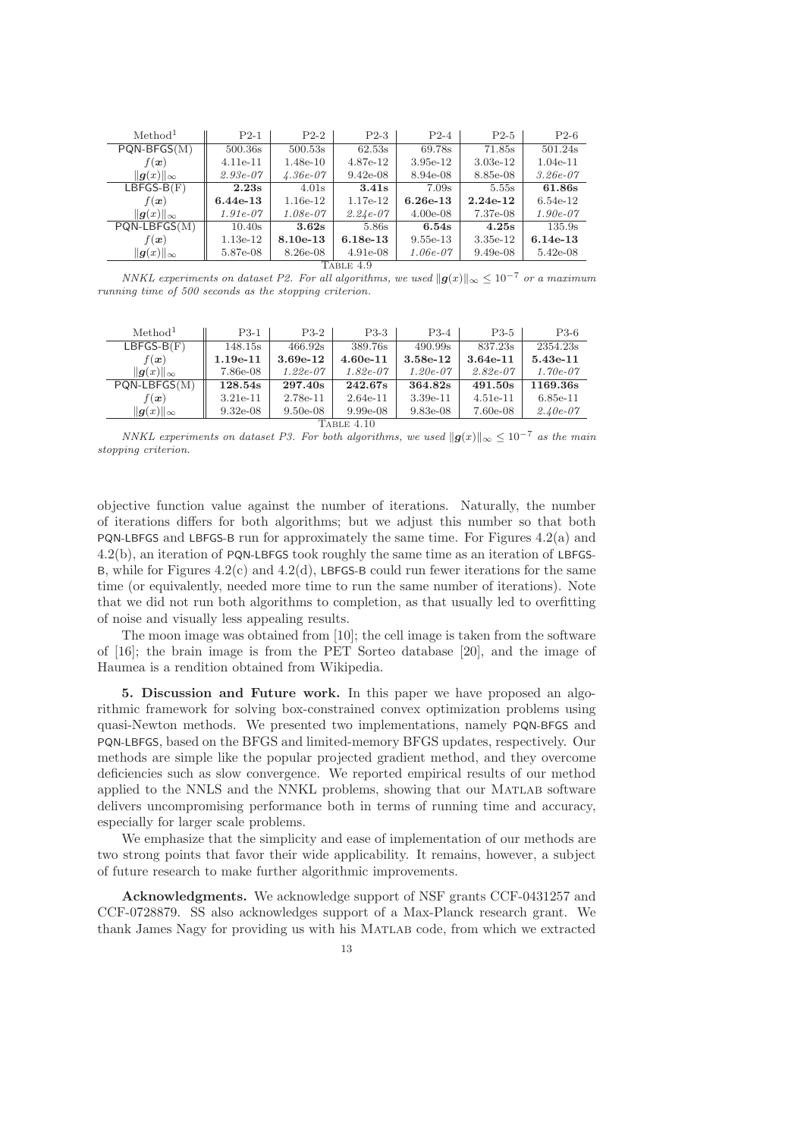| Method <sup>1</sup> | $P2-1$     | $P2-2$     | $P2-3$     | $P2-4$     | $P2-5$     | $P2-6$     |  |  |
|---------------------|------------|------------|------------|------------|------------|------------|--|--|
| $PQN-BFGS(M)$       | 500.36s    | 500.53s    | 62.53s     | 69.78s     | 71.85s     | 501.24s    |  |  |
| $f(\boldsymbol{x})$ | $4.11e-11$ | $1.48e-10$ | 4.87e-12   | $3.95e-12$ | $3.03e-12$ | $1.04e-11$ |  |  |
| $  g(x)  _{\infty}$ | $2.93e-07$ | $4.36e-07$ | $9.42e-08$ | 8.94e-08   | 8.85e-08   | $3.26e-07$ |  |  |
| $LBFGS-B(F)$        | 2.23s      | 4.01s      | 3.41s      | 7.09s      | 5.55s      | 61.86s     |  |  |
| $f(\boldsymbol{x})$ | $6.44e-13$ | $1.16e-12$ | $1.17e-12$ | $6.26e-13$ | $2.24e-12$ | $6.54e-12$ |  |  |
| $  g(x)  _{\infty}$ | $1.91e-07$ | $1.08e-07$ | $2.24e-07$ | $4.00e-08$ | 7.37e-08   | $1.90e-07$ |  |  |
| $PQN-LBFGS(M)$      | 10.40s     | 3.62s      | 5.86s      | 6.54s      | 4.25s      | 135.9s     |  |  |
| $f(\boldsymbol{x})$ | 1.13e-12   | $8.10e-13$ | $6.18e-13$ | $9.55e-13$ | $3.35e-12$ | $6.14e-13$ |  |  |
| $  g(x)  _{\infty}$ | 5.87e-08   | 8.26e-08   | $4.91e-08$ | $1.06e-07$ | $9.49e-08$ | $5.42e-08$ |  |  |
| TABLE 4.9           |            |            |            |            |            |            |  |  |

*NNKL experiments on dataset P2. For all algorithms, we used*  $||g(x)||_{\infty} \leq 10^{-7}$  *or a maximum running time of 500 seconds as the stopping criterion.*

| Method <sup>1</sup>                | $P3-1$     | $P3-2$     | $P3-3$     | $P3-4$     | $P3-5$     | $P3-6$     |  |  |
|------------------------------------|------------|------------|------------|------------|------------|------------|--|--|
| $LBFGS-B(F)$                       | 148.15s    | 466.92s    | 389.76s    | 490.99s    | 837.23s    | 2354.23s   |  |  |
| $f(\boldsymbol{x})$                | $1.19e-11$ | 3.69e-12   | $4.60e-11$ | 3.58e-12   | $3.64e-11$ | 5.43e-11   |  |  |
| $  g(x)  _{\infty}$                | 7.86e-08   | $1.22e-07$ | $1.82e-07$ | $1.20e-07$ | $2.82e-07$ | $1.70e-07$ |  |  |
| $PQN-LBFGS(M)$                     | 128.54s    | 297.40s    | 242.67s    | 364.82s    | 491.50s    | 1169.36s   |  |  |
| $f(\boldsymbol{x})$                | $3.21e-11$ | 2.78e-11   | $2.64e-11$ | $3.39e-11$ | $4.51e-11$ | $6.85e-11$ |  |  |
| $\ {\boldsymbol{q}}(x)\ _{\infty}$ | $9.32e-08$ | $9.50e-08$ | $9.99e-08$ | $9.83e-08$ | 7.60e-08   | $2.40e-07$ |  |  |
| Table 4.10                         |            |            |            |            |            |            |  |  |

*NNKL experiments on dataset P3. For both algorithms, we used*  $||g(x)||_{\infty} \leq 10^{-7}$  *as the main stopping criterion.*

objective function value against the number of iterations. Naturally, the number of iterations differs for both algorithms; but we adjust this number so that both PQN-LBFGS and LBFGS-B run for approximately the same time. For Figures 4.2(a) and 4.2(b), an iteration of PQN-LBFGS took roughly the same time as an iteration of LBFGS-B, while for Figures  $4.2(c)$  and  $4.2(d)$ , LBFGS-B could run fewer iterations for the same time (or equivalently, needed more time to run the same number of iterations). Note that we did not run both algorithms to completion, as that usually led to overfitting of noise and visually less appealing results.

The moon image was obtained from [10]; the cell image is taken from the software of [16]; the brain image is from the PET Sorteo database [20], and the image of Haumea is a rendition obtained from Wikipedia.

5. Discussion and Future work. In this paper we have proposed an algorithmic framework for solving box-constrained convex optimization problems using quasi-Newton methods. We presented two implementations, namely PQN-BFGS and PQN-LBFGS, based on the BFGS and limited-memory BFGS updates, respectively. Our methods are simple like the popular projected gradient method, and they overcome deficiencies such as slow convergence. We reported empirical results of our method applied to the NNLS and the NNKL problems, showing that our Matlab software delivers uncompromising performance both in terms of running time and accuracy, especially for larger scale problems.

We emphasize that the simplicity and ease of implementation of our methods are two strong points that favor their wide applicability. It remains, however, a subject of future research to make further algorithmic improvements.

Acknowledgments. We acknowledge support of NSF grants CCF-0431257 and CCF-0728879. SS also acknowledges support of a Max-Planck research grant. We thank James Nagy for providing us with his Matlab code, from which we extracted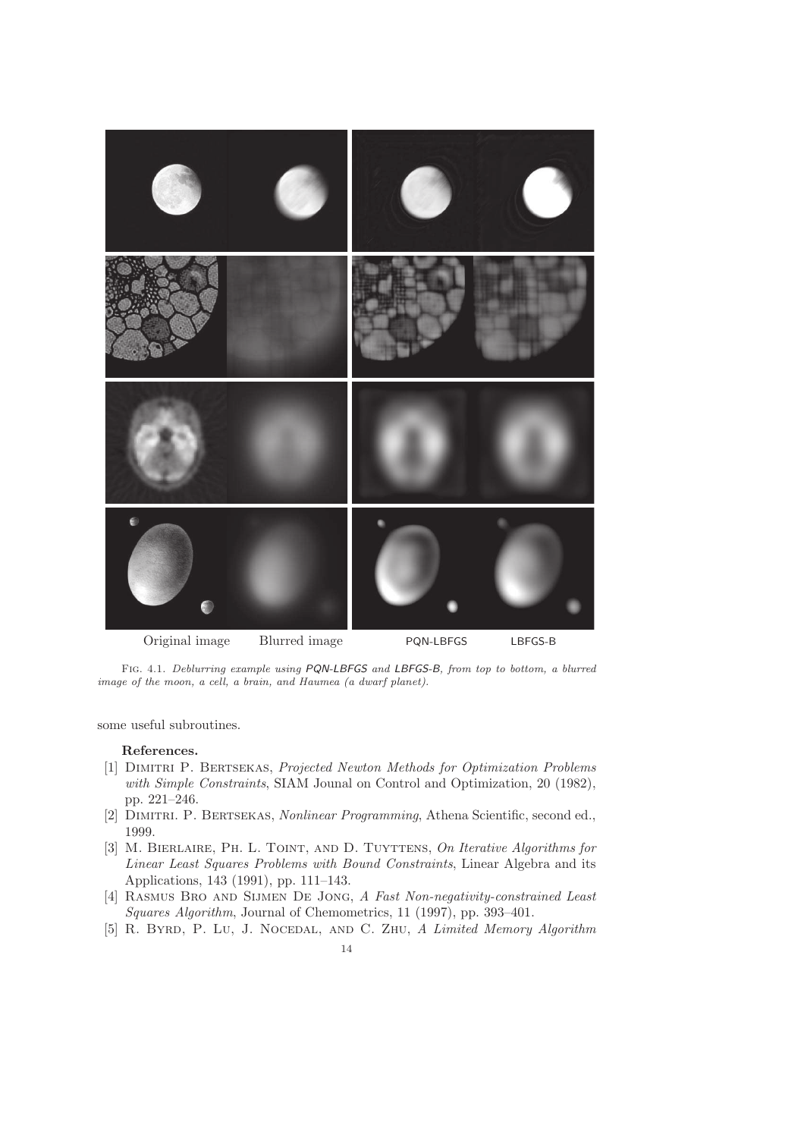

Fig. 4.1. *Deblurring example using* PQN-LBFGS *and* LBFGS-B*, from top to bottom, a blurred image of the moon, a cell, a brain, and Haumea (a dwarf planet).*

some useful subroutines.

## References.

- [1] Dimitri P. Bertsekas, *Projected Newton Methods for Optimization Problems with Simple Constraints*, SIAM Jounal on Control and Optimization, 20 (1982), pp. 221–246.
- [2] Dimitri. P. Bertsekas, *Nonlinear Programming*, Athena Scientific, second ed., 1999.
- [3] M. Bierlaire, Ph. L. Toint, and D. Tuyttens, *On Iterative Algorithms for Linear Least Squares Problems with Bound Constraints*, Linear Algebra and its Applications, 143 (1991), pp. 111–143.
- [4] Rasmus Bro and Sijmen De Jong, *A Fast Non-negativity-constrained Least Squares Algorithm*, Journal of Chemometrics, 11 (1997), pp. 393–401.
- [5] R. Byrd, P. Lu, J. Nocedal, and C. Zhu, *A Limited Memory Algorithm*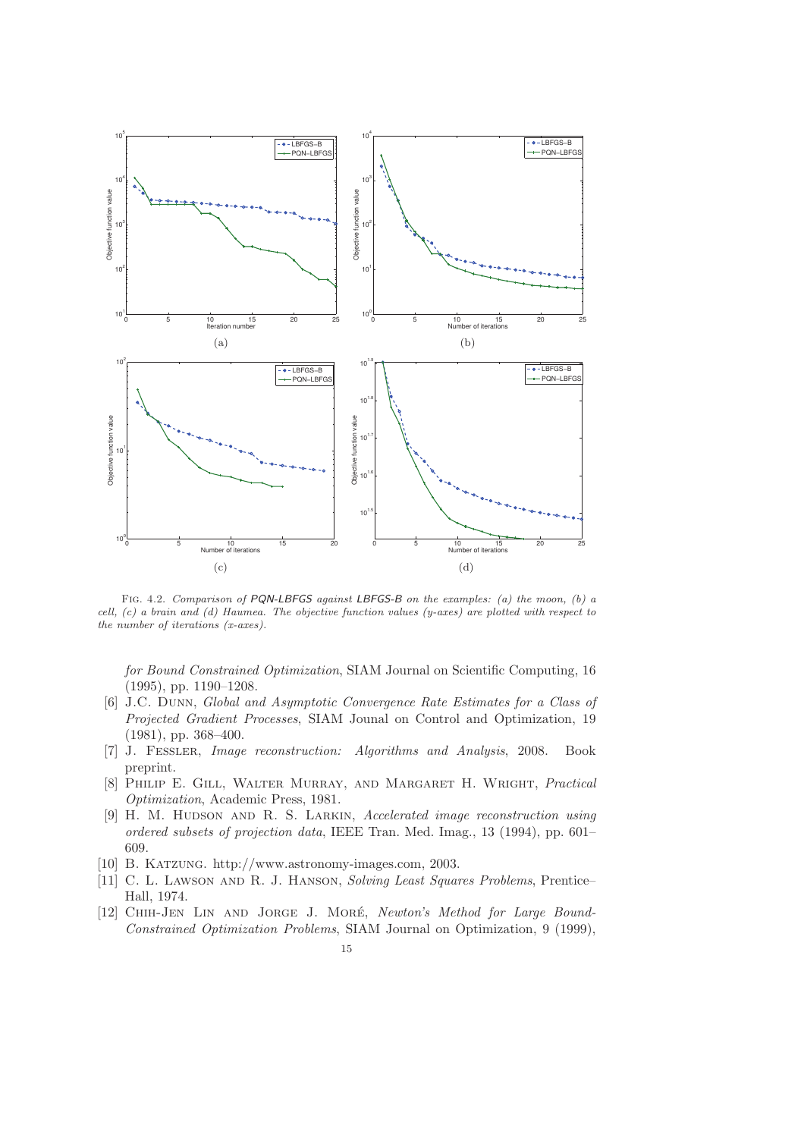

Fig. 4.2. *Comparison of* PQN-LBFGS *against* LBFGS-B *on the examples: (a) the moon, (b) a cell, (c) a brain and (d) Haumea. The objective function values (y-axes) are plotted with respect to the number of iterations (x-axes).*

*for Bound Constrained Optimization*, SIAM Journal on Scientific Computing, 16 (1995), pp. 1190–1208.

- [6] J.C. Dunn, *Global and Asymptotic Convergence Rate Estimates for a Class of Projected Gradient Processes*, SIAM Jounal on Control and Optimization, 19 (1981), pp. 368–400.
- [7] J. Fessler, *Image reconstruction: Algorithms and Analysis*, 2008. Book preprint.
- [8] Philip E. Gill, Walter Murray, and Margaret H. Wright, *Practical Optimization*, Academic Press, 1981.
- [9] H. M. Hudson and R. S. Larkin, *Accelerated image reconstruction using ordered subsets of projection data*, IEEE Tran. Med. Imag., 13 (1994), pp. 601– 609.
- [10] B. Katzung. http://www.astronomy-images.com, 2003.
- [11] C. L. Lawson and R. J. Hanson, *Solving Least Squares Problems*, Prentice– Hall, 1974.
- [12] Chih-Jen Lin and Jorge J. More´, *Newton's Method for Large Bound-Constrained Optimization Problems*, SIAM Journal on Optimization, 9 (1999),